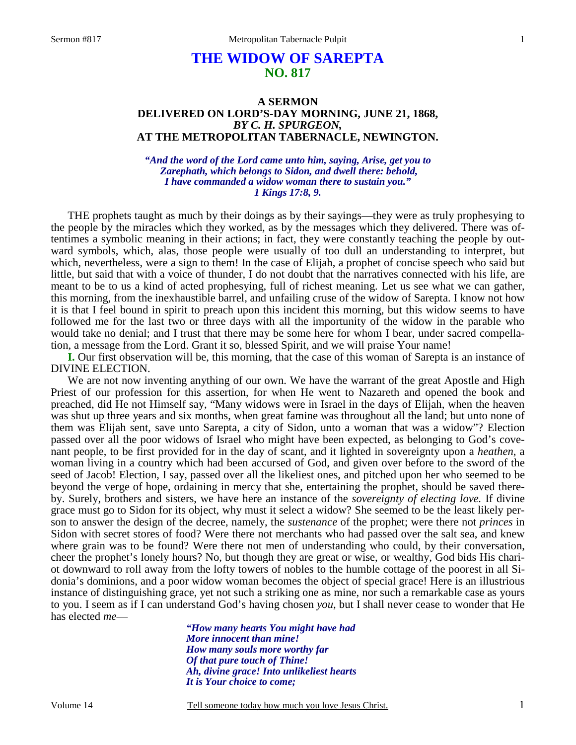# **THE WIDOW OF SAREPTA NO. 817**

### **A SERMON DELIVERED ON LORD'S-DAY MORNING, JUNE 21, 1868,**  *BY C. H. SPURGEON,*  **AT THE METROPOLITAN TABERNACLE, NEWINGTON.**

*"And the word of the Lord came unto him, saying, Arise, get you to Zarephath, which belongs to Sidon, and dwell there: behold, I have commanded a widow woman there to sustain you." 1 Kings 17:8, 9.* 

 THE prophets taught as much by their doings as by their sayings—they were as truly prophesying to the people by the miracles which they worked, as by the messages which they delivered. There was oftentimes a symbolic meaning in their actions; in fact, they were constantly teaching the people by outward symbols, which, alas, those people were usually of too dull an understanding to interpret, but which, nevertheless, were a sign to them! In the case of Elijah, a prophet of concise speech who said but little, but said that with a voice of thunder, I do not doubt that the narratives connected with his life, are meant to be to us a kind of acted prophesying, full of richest meaning. Let us see what we can gather, this morning, from the inexhaustible barrel, and unfailing cruse of the widow of Sarepta. I know not how it is that I feel bound in spirit to preach upon this incident this morning, but this widow seems to have followed me for the last two or three days with all the importunity of the widow in the parable who would take no denial; and I trust that there may be some here for whom I bear, under sacred compellation, a message from the Lord. Grant it so, blessed Spirit, and we will praise Your name!

**I.** Our first observation will be, this morning, that the case of this woman of Sarepta is an instance of DIVINE ELECTION.

 We are not now inventing anything of our own. We have the warrant of the great Apostle and High Priest of our profession for this assertion, for when He went to Nazareth and opened the book and preached, did He not Himself say, "Many widows were in Israel in the days of Elijah, when the heaven was shut up three years and six months, when great famine was throughout all the land; but unto none of them was Elijah sent, save unto Sarepta, a city of Sidon, unto a woman that was a widow"? Election passed over all the poor widows of Israel who might have been expected, as belonging to God's covenant people, to be first provided for in the day of scant, and it lighted in sovereignty upon a *heathen*, a woman living in a country which had been accursed of God, and given over before to the sword of the seed of Jacob! Election, I say, passed over all the likeliest ones, and pitched upon her who seemed to be beyond the verge of hope, ordaining in mercy that she, entertaining the prophet, should be saved thereby. Surely, brothers and sisters, we have here an instance of the *sovereignty of electing love.* If divine grace must go to Sidon for its object, why must it select a widow? She seemed to be the least likely person to answer the design of the decree, namely, the *sustenance* of the prophet; were there not *princes* in Sidon with secret stores of food? Were there not merchants who had passed over the salt sea, and knew where grain was to be found? Were there not men of understanding who could, by their conversation, cheer the prophet's lonely hours? No, but though they are great or wise, or wealthy, God bids His chariot downward to roll away from the lofty towers of nobles to the humble cottage of the poorest in all Sidonia's dominions, and a poor widow woman becomes the object of special grace! Here is an illustrious instance of distinguishing grace, yet not such a striking one as mine, nor such a remarkable case as yours to you. I seem as if I can understand God's having chosen *you*, but I shall never cease to wonder that He has elected *me*—

> *"How many hearts You might have had More innocent than mine! How many souls more worthy far Of that pure touch of Thine! Ah, divine grace! Into unlikeliest hearts It is Your choice to come;*

Volume 14 Tell someone today how much you love Jesus Christ. 1 1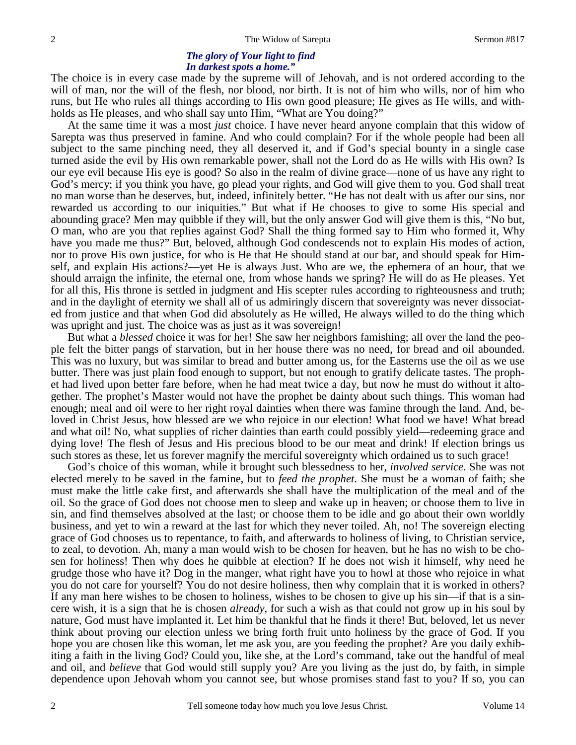### *The glory of Your light to find In darkest spots a home."*

The choice is in every case made by the supreme will of Jehovah, and is not ordered according to the will of man, nor the will of the flesh, nor blood, nor birth. It is not of him who wills, nor of him who runs, but He who rules all things according to His own good pleasure; He gives as He wills, and withholds as He pleases, and who shall say unto Him, "What are You doing?"

 At the same time it was a most *just* choice. I have never heard anyone complain that this widow of Sarepta was thus preserved in famine. And who could complain? For if the whole people had been all subject to the same pinching need, they all deserved it, and if God's special bounty in a single case turned aside the evil by His own remarkable power, shall not the Lord do as He wills with His own? Is our eye evil because His eye is good? So also in the realm of divine grace—none of us have any right to God's mercy; if you think you have, go plead your rights, and God will give them to you. God shall treat no man worse than he deserves, but, indeed, infinitely better. "He has not dealt with us after our sins, nor rewarded us according to our iniquities." But what if He chooses to give to some His special and abounding grace? Men may quibble if they will, but the only answer God will give them is this, "No but, O man, who are you that replies against God? Shall the thing formed say to Him who formed it, Why have you made me thus?" But, beloved, although God condescends not to explain His modes of action, nor to prove His own justice, for who is He that He should stand at our bar, and should speak for Himself, and explain His actions?—yet He is always Just. Who are we, the ephemera of an hour, that we should arraign the infinite, the eternal one, from whose hands we spring? He will do as He pleases. Yet for all this, His throne is settled in judgment and His scepter rules according to righteousness and truth; and in the daylight of eternity we shall all of us admiringly discern that sovereignty was never dissociated from justice and that when God did absolutely as He willed, He always willed to do the thing which was upright and just. The choice was as just as it was sovereign!

 But what a *blessed* choice it was for her! She saw her neighbors famishing; all over the land the people felt the bitter pangs of starvation, but in her house there was no need, for bread and oil abounded. This was no luxury, but was similar to bread and butter among us, for the Easterns use the oil as we use butter. There was just plain food enough to support, but not enough to gratify delicate tastes. The prophet had lived upon better fare before, when he had meat twice a day, but now he must do without it altogether. The prophet's Master would not have the prophet be dainty about such things. This woman had enough; meal and oil were to her right royal dainties when there was famine through the land. And, beloved in Christ Jesus, how blessed are we who rejoice in our election! What food we have! What bread and what oil! No, what supplies of richer dainties than earth could possibly yield—redeeming grace and dying love! The flesh of Jesus and His precious blood to be our meat and drink! If election brings us such stores as these, let us forever magnify the merciful sovereignty which ordained us to such grace!

 God's choice of this woman, while it brought such blessedness to her, *involved service.* She was not elected merely to be saved in the famine, but to *feed the prophet*. She must be a woman of faith; she must make the little cake first, and afterwards she shall have the multiplication of the meal and of the oil. So the grace of God does not choose men to sleep and wake up in heaven; or choose them to live in sin, and find themselves absolved at the last; or choose them to be idle and go about their own worldly business, and yet to win a reward at the last for which they never toiled. Ah, no! The sovereign electing grace of God chooses us to repentance, to faith, and afterwards to holiness of living, to Christian service, to zeal, to devotion. Ah, many a man would wish to be chosen for heaven, but he has no wish to be chosen for holiness! Then why does he quibble at election? If he does not wish it himself, why need he grudge those who have it? Dog in the manger, what right have you to howl at those who rejoice in what you do not care for yourself? You do not desire holiness, then why complain that it is worked in others? If any man here wishes to be chosen to holiness, wishes to be chosen to give up his sin—if that is a sincere wish, it is a sign that he is chosen *already*, for such a wish as that could not grow up in his soul by nature, God must have implanted it. Let him be thankful that he finds it there! But, beloved, let us never think about proving our election unless we bring forth fruit unto holiness by the grace of God. If you hope you are chosen like this woman, let me ask you, are you feeding the prophet? Are you daily exhibiting a faith in the living God? Could you, like she, at the Lord's command, take out the handful of meal and oil, and *believe* that God would still supply you? Are you living as the just do, by faith, in simple dependence upon Jehovah whom you cannot see, but whose promises stand fast to you? If so, you can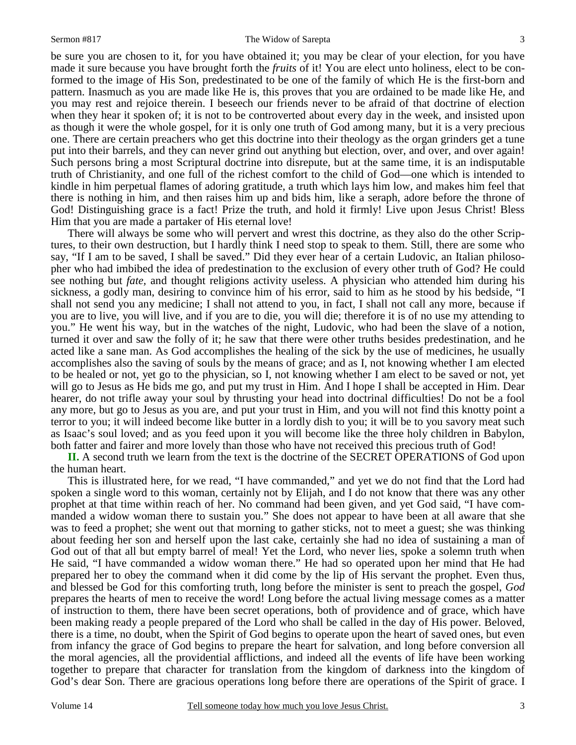be sure you are chosen to it, for you have obtained it; you may be clear of your election, for you have made it sure because you have brought forth the *fruits* of it! You are elect unto holiness, elect to be conformed to the image of His Son, predestinated to be one of the family of which He is the first-born and pattern. Inasmuch as you are made like He is, this proves that you are ordained to be made like He, and you may rest and rejoice therein. I beseech our friends never to be afraid of that doctrine of election when they hear it spoken of; it is not to be controverted about every day in the week, and insisted upon as though it were the whole gospel, for it is only one truth of God among many, but it is a very precious one. There are certain preachers who get this doctrine into their theology as the organ grinders get a tune put into their barrels, and they can never grind out anything but election, over, and over, and over again! Such persons bring a most Scriptural doctrine into disrepute, but at the same time, it is an indisputable truth of Christianity, and one full of the richest comfort to the child of God—one which is intended to kindle in him perpetual flames of adoring gratitude, a truth which lays him low, and makes him feel that there is nothing in him, and then raises him up and bids him, like a seraph, adore before the throne of God! Distinguishing grace is a fact! Prize the truth, and hold it firmly! Live upon Jesus Christ! Bless

Him that you are made a partaker of His eternal love! There will always be some who will pervert and wrest this doctrine, as they also do the other Scriptures, to their own destruction, but I hardly think I need stop to speak to them. Still, there are some who say, "If I am to be saved, I shall be saved." Did they ever hear of a certain Ludovic, an Italian philosopher who had imbibed the idea of predestination to the exclusion of every other truth of God? He could see nothing but *fate,* and thought religions activity useless. A physician who attended him during his sickness, a godly man, desiring to convince him of his error, said to him as he stood by his bedside, "I shall not send you any medicine; I shall not attend to you, in fact, I shall not call any more, because if you are to live, you will live, and if you are to die, you will die; therefore it is of no use my attending to you." He went his way, but in the watches of the night, Ludovic, who had been the slave of a notion, turned it over and saw the folly of it; he saw that there were other truths besides predestination, and he acted like a sane man. As God accomplishes the healing of the sick by the use of medicines, he usually accomplishes also the saving of souls by the means of grace; and as I, not knowing whether I am elected to be healed or not, yet go to the physician, so I, not knowing whether I am elect to be saved or not, yet will go to Jesus as He bids me go, and put my trust in Him. And I hope I shall be accepted in Him. Dear hearer, do not trifle away your soul by thrusting your head into doctrinal difficulties! Do not be a fool any more, but go to Jesus as you are, and put your trust in Him, and you will not find this knotty point a terror to you; it will indeed become like butter in a lordly dish to you; it will be to you savory meat such as Isaac's soul loved; and as you feed upon it you will become like the three holy children in Babylon, both fatter and fairer and more lovely than those who have not received this precious truth of God!

**II.** A second truth we learn from the text is the doctrine of the SECRET OPERATIONS of God upon the human heart.

 This is illustrated here, for we read, "I have commanded," and yet we do not find that the Lord had spoken a single word to this woman, certainly not by Elijah, and I do not know that there was any other prophet at that time within reach of her. No command had been given, and yet God said, "I have commanded a widow woman there to sustain you." She does not appear to have been at all aware that she was to feed a prophet; she went out that morning to gather sticks, not to meet a guest; she was thinking about feeding her son and herself upon the last cake, certainly she had no idea of sustaining a man of God out of that all but empty barrel of meal! Yet the Lord, who never lies, spoke a solemn truth when He said, "I have commanded a widow woman there." He had so operated upon her mind that He had prepared her to obey the command when it did come by the lip of His servant the prophet. Even thus, and blessed be God for this comforting truth, long before the minister is sent to preach the gospel, *God* prepares the hearts of men to receive the word! Long before the actual living message comes as a matter of instruction to them, there have been secret operations, both of providence and of grace, which have been making ready a people prepared of the Lord who shall be called in the day of His power. Beloved, there is a time, no doubt, when the Spirit of God begins to operate upon the heart of saved ones, but even from infancy the grace of God begins to prepare the heart for salvation, and long before conversion all the moral agencies, all the providential afflictions, and indeed all the events of life have been working together to prepare that character for translation from the kingdom of darkness into the kingdom of God's dear Son. There are gracious operations long before there are operations of the Spirit of grace. I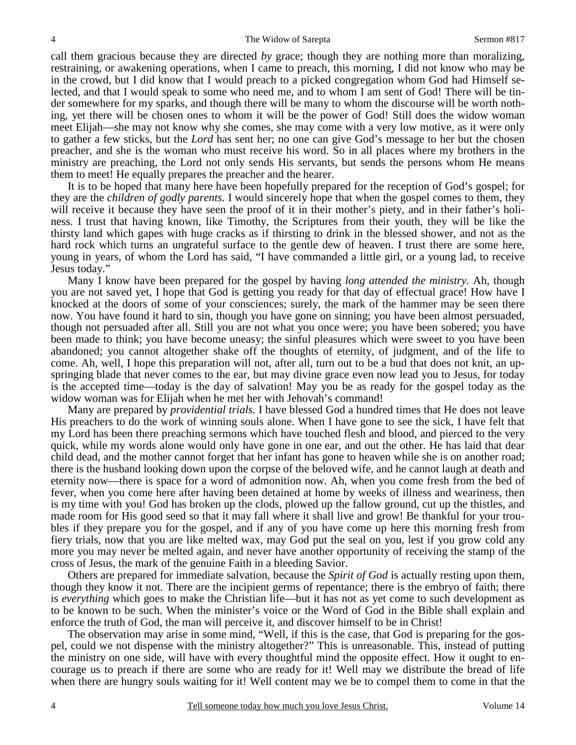call them gracious because they are directed *by* grace; though they are nothing more than moralizing, restraining, or awakening operations, when I came to preach, this morning, I did not know who may be in the crowd, but I did know that I would preach to a picked congregation whom God had Himself selected, and that I would speak to some who need me, and to whom I am sent of God! There will be tinder somewhere for my sparks, and though there will be many to whom the discourse will be worth nothing, yet there will be chosen ones to whom it will be the power of God! Still does the widow woman meet Elijah—she may not know why she comes, she may come with a very low motive, as it were only to gather a few sticks, but the *Lord* has sent her; no one can give God's message to her but the chosen preacher, and she is the woman who must receive his word. So in all places where my brothers in the ministry are preaching, the Lord not only sends His servants, but sends the persons whom He means them to meet! He equally prepares the preacher and the hearer.

 It is to be hoped that many here have been hopefully prepared for the reception of God's gospel; for they are the *children of godly parents.* I would sincerely hope that when the gospel comes to them, they will receive it because they have seen the proof of it in their mother's piety, and in their father's holiness. I trust that having known, like Timothy, the Scriptures from their youth, they will be like the thirsty land which gapes with huge cracks as if thirsting to drink in the blessed shower, and not as the hard rock which turns an ungrateful surface to the gentle dew of heaven. I trust there are some here, young in years, of whom the Lord has said, "I have commanded a little girl, or a young lad, to receive Jesus today."

 Many I know have been prepared for the gospel by having *long attended the ministry.* Ah, though you are not saved yet, I hope that God is getting you ready for that day of effectual grace! How have I knocked at the doors of some of your consciences; surely, the mark of the hammer may be seen there now. You have found it hard to sin, though you have gone on sinning; you have been almost persuaded, though not persuaded after all. Still you are not what you once were; you have been sobered; you have been made to think; you have become uneasy; the sinful pleasures which were sweet to you have been abandoned; you cannot altogether shake off the thoughts of eternity, of judgment, and of the life to come. Ah, well, I hope this preparation will not, after all, turn out to be a bud that does not knit, an upspringing blade that never comes to the ear, but may divine grace even now lead you to Jesus, for today is the accepted time—today is the day of salvation! May you be as ready for the gospel today as the widow woman was for Elijah when he met her with Jehovah's command!

 Many are prepared by *providential trials.* I have blessed God a hundred times that He does not leave His preachers to do the work of winning souls alone. When I have gone to see the sick, I have felt that my Lord has been there preaching sermons which have touched flesh and blood, and pierced to the very quick, while my words alone would only have gone in one ear, and out the other. He has laid that dear child dead, and the mother cannot forget that her infant has gone to heaven while she is on another road; there is the husband looking down upon the corpse of the beloved wife, and he cannot laugh at death and eternity now—there is space for a word of admonition now. Ah, when you come fresh from the bed of fever, when you come here after having been detained at home by weeks of illness and weariness, then is my time with you! God has broken up the clods, plowed up the fallow ground, cut up the thistles, and made room for His good seed so that it may fall where it shall live and grow! Be thankful for your troubles if they prepare you for the gospel, and if any of you have come up here this morning fresh from fiery trials, now that you are like melted wax, may God put the seal on you, lest if you grow cold any more you may never be melted again, and never have another opportunity of receiving the stamp of the cross of Jesus, the mark of the genuine Faith in a bleeding Savior.

 Others are prepared for immediate salvation, because the *Spirit of God* is actually resting upon them, though they know it not. There are the incipient germs of repentance; there is the embryo of faith; there is *everything* which goes to make the Christian life—but it has not as yet come to such development as to be known to be such. When the minister's voice or the Word of God in the Bible shall explain and enforce the truth of God, the man will perceive it, and discover himself to be in Christ!

 The observation may arise in some mind, "Well, if this is the case, that God is preparing for the gospel, could we not dispense with the ministry altogether?" This is unreasonable. This, instead of putting the ministry on one side, will have with every thoughtful mind the opposite effect. How it ought to encourage us to preach if there are some who are ready for it! Well may we distribute the bread of life when there are hungry souls waiting for it! Well content may we be to compel them to come in that the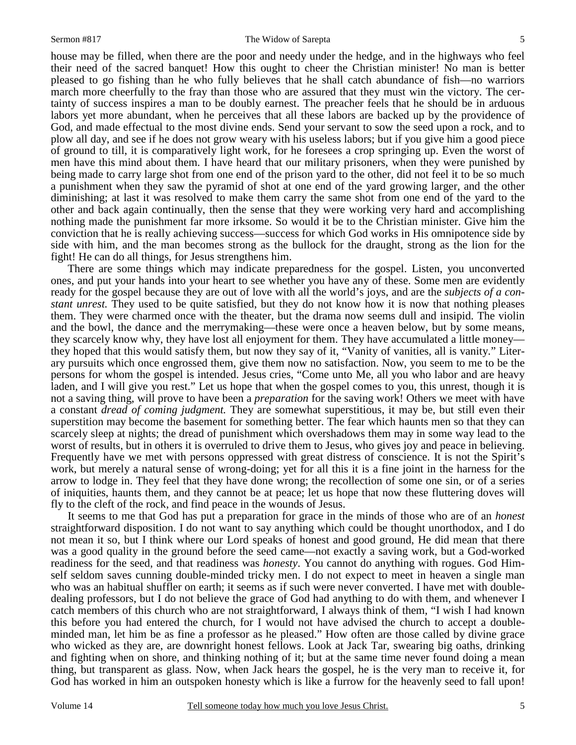house may be filled, when there are the poor and needy under the hedge, and in the highways who feel their need of the sacred banquet! How this ought to cheer the Christian minister! No man is better pleased to go fishing than he who fully believes that he shall catch abundance of fish—no warriors march more cheerfully to the fray than those who are assured that they must win the victory. The certainty of success inspires a man to be doubly earnest. The preacher feels that he should be in arduous labors yet more abundant, when he perceives that all these labors are backed up by the providence of God, and made effectual to the most divine ends. Send your servant to sow the seed upon a rock, and to plow all day, and see if he does not grow weary with his useless labors; but if you give him a good piece of ground to till, it is comparatively light work, for he foresees a crop springing up. Even the worst of

men have this mind about them. I have heard that our military prisoners, when they were punished by being made to carry large shot from one end of the prison yard to the other, did not feel it to be so much a punishment when they saw the pyramid of shot at one end of the yard growing larger, and the other diminishing; at last it was resolved to make them carry the same shot from one end of the yard to the other and back again continually, then the sense that they were working very hard and accomplishing nothing made the punishment far more irksome. So would it be to the Christian minister. Give him the conviction that he is really achieving success—success for which God works in His omnipotence side by side with him, and the man becomes strong as the bullock for the draught, strong as the lion for the fight! He can do all things, for Jesus strengthens him.

 There are some things which may indicate preparedness for the gospel. Listen, you unconverted ones, and put your hands into your heart to see whether you have any of these. Some men are evidently ready for the gospel because they are out of love with all the world's joys, and are the *subjects of a constant unrest.* They used to be quite satisfied, but they do not know how it is now that nothing pleases them. They were charmed once with the theater, but the drama now seems dull and insipid. The violin and the bowl, the dance and the merrymaking—these were once a heaven below, but by some means, they scarcely know why, they have lost all enjoyment for them. They have accumulated a little money they hoped that this would satisfy them, but now they say of it, "Vanity of vanities, all is vanity." Literary pursuits which once engrossed them, give them now no satisfaction. Now, you seem to me to be the persons for whom the gospel is intended. Jesus cries, "Come unto Me, all you who labor and are heavy laden, and I will give you rest." Let us hope that when the gospel comes to you, this unrest, though it is not a saving thing, will prove to have been a *preparation* for the saving work! Others we meet with have a constant *dread of coming judgment.* They are somewhat superstitious, it may be, but still even their superstition may become the basement for something better. The fear which haunts men so that they can scarcely sleep at nights; the dread of punishment which overshadows them may in some way lead to the worst of results, but in others it is overruled to drive them to Jesus, who gives joy and peace in believing. Frequently have we met with persons oppressed with great distress of conscience. It is not the Spirit's work, but merely a natural sense of wrong-doing; yet for all this it is a fine joint in the harness for the arrow to lodge in. They feel that they have done wrong; the recollection of some one sin, or of a series of iniquities, haunts them, and they cannot be at peace; let us hope that now these fluttering doves will fly to the cleft of the rock, and find peace in the wounds of Jesus.

 It seems to me that God has put a preparation for grace in the minds of those who are of an *honest* straightforward disposition. I do not want to say anything which could be thought unorthodox, and I do not mean it so, but I think where our Lord speaks of honest and good ground, He did mean that there was a good quality in the ground before the seed came—not exactly a saving work, but a God-worked readiness for the seed, and that readiness was *honesty*. You cannot do anything with rogues. God Himself seldom saves cunning double-minded tricky men. I do not expect to meet in heaven a single man who was an habitual shuffler on earth; it seems as if such were never converted. I have met with doubledealing professors, but I do not believe the grace of God had anything to do with them, and whenever I catch members of this church who are not straightforward, I always think of them, "I wish I had known this before you had entered the church, for I would not have advised the church to accept a doubleminded man, let him be as fine a professor as he pleased." How often are those called by divine grace who wicked as they are, are downright honest fellows. Look at Jack Tar, swearing big oaths, drinking and fighting when on shore, and thinking nothing of it; but at the same time never found doing a mean thing, but transparent as glass. Now, when Jack hears the gospel, he is the very man to receive it, for God has worked in him an outspoken honesty which is like a furrow for the heavenly seed to fall upon!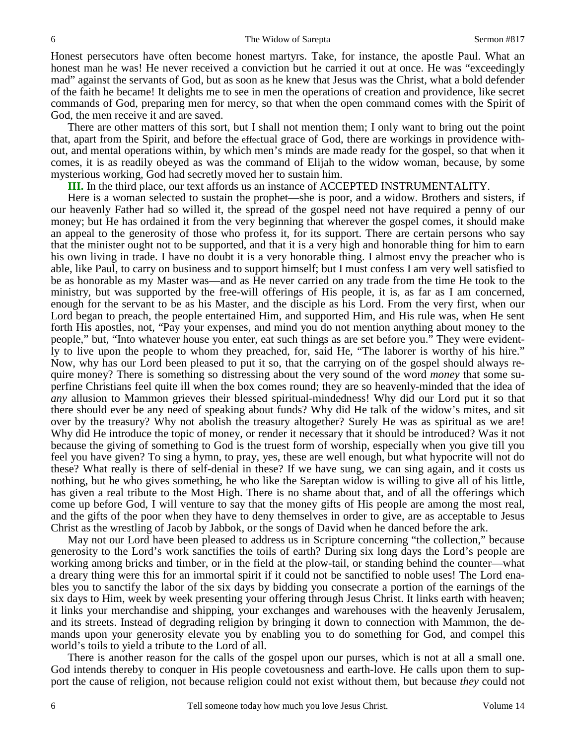Honest persecutors have often become honest martyrs. Take, for instance, the apostle Paul. What an honest man he was! He never received a conviction but he carried it out at once. He was "exceedingly mad" against the servants of God, but as soon as he knew that Jesus was the Christ, what a bold defender of the faith he became! It delights me to see in men the operations of creation and providence, like secret commands of God, preparing men for mercy, so that when the open command comes with the Spirit of God, the men receive it and are saved.

 There are other matters of this sort, but I shall not mention them; I only want to bring out the point that, apart from the Spirit, and before the effectual grace of God, there are workings in providence without, and mental operations within, by which men's minds are made ready for the gospel, so that when it comes, it is as readily obeyed as was the command of Elijah to the widow woman, because, by some mysterious working, God had secretly moved her to sustain him.

**III.** In the third place, our text affords us an instance of ACCEPTED INSTRUMENTALITY.

 Here is a woman selected to sustain the prophet—she is poor, and a widow. Brothers and sisters, if our heavenly Father had so willed it, the spread of the gospel need not have required a penny of our money; but He has ordained it from the very beginning that wherever the gospel comes, it should make an appeal to the generosity of those who profess it, for its support. There are certain persons who say that the minister ought not to be supported, and that it is a very high and honorable thing for him to earn his own living in trade. I have no doubt it is a very honorable thing. I almost envy the preacher who is able, like Paul, to carry on business and to support himself; but I must confess I am very well satisfied to be as honorable as my Master was—and as He never carried on any trade from the time He took to the ministry, but was supported by the free-will offerings of His people, it is, as far as I am concerned, enough for the servant to be as his Master, and the disciple as his Lord. From the very first, when our Lord began to preach, the people entertained Him, and supported Him, and His rule was, when He sent forth His apostles, not, "Pay your expenses, and mind you do not mention anything about money to the people," but, "Into whatever house you enter, eat such things as are set before you." They were evidently to live upon the people to whom they preached, for, said He, "The laborer is worthy of his hire." Now, why has our Lord been pleased to put it so, that the carrying on of the gospel should always require money? There is something so distressing about the very sound of the word *money* that some superfine Christians feel quite ill when the box comes round; they are so heavenly-minded that the idea of *any* allusion to Mammon grieves their blessed spiritual-mindedness! Why did our Lord put it so that there should ever be any need of speaking about funds? Why did He talk of the widow's mites, and sit over by the treasury? Why not abolish the treasury altogether? Surely He was as spiritual as we are! Why did He introduce the topic of money, or render it necessary that it should be introduced? Was it not because the giving of something to God is the truest form of worship, especially when you give till you feel you have given? To sing a hymn, to pray, yes, these are well enough, but what hypocrite will not do these? What really is there of self-denial in these? If we have sung, we can sing again, and it costs us nothing, but he who gives something, he who like the Sareptan widow is willing to give all of his little, has given a real tribute to the Most High. There is no shame about that, and of all the offerings which come up before God, I will venture to say that the money gifts of His people are among the most real, and the gifts of the poor when they have to deny themselves in order to give, are as acceptable to Jesus Christ as the wrestling of Jacob by Jabbok, or the songs of David when he danced before the ark.

 May not our Lord have been pleased to address us in Scripture concerning "the collection," because generosity to the Lord's work sanctifies the toils of earth? During six long days the Lord's people are working among bricks and timber, or in the field at the plow-tail, or standing behind the counter—what a dreary thing were this for an immortal spirit if it could not be sanctified to noble uses! The Lord enables you to sanctify the labor of the six days by bidding you consecrate a portion of the earnings of the six days to Him, week by week presenting your offering through Jesus Christ. It links earth with heaven; it links your merchandise and shipping, your exchanges and warehouses with the heavenly Jerusalem, and its streets. Instead of degrading religion by bringing it down to connection with Mammon, the demands upon your generosity elevate you by enabling you to do something for God, and compel this world's toils to yield a tribute to the Lord of all.

 There is another reason for the calls of the gospel upon our purses, which is not at all a small one. God intends thereby to conquer in His people covetousness and earth-love. He calls upon them to support the cause of religion, not because religion could not exist without them, but because *they* could not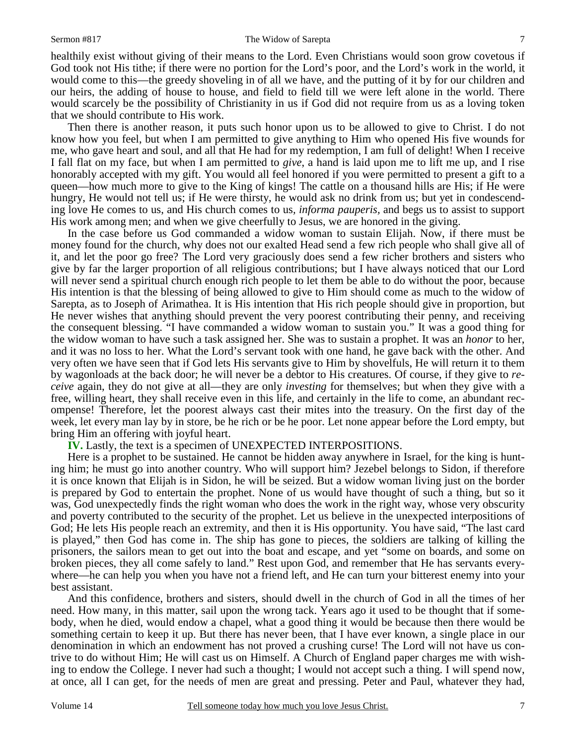### Sermon #817 The Widow of Sarepta

healthily exist without giving of their means to the Lord. Even Christians would soon grow covetous if God took not His tithe; if there were no portion for the Lord's poor, and the Lord's work in the world, it would come to this—the greedy shoveling in of all we have, and the putting of it by for our children and our heirs, the adding of house to house, and field to field till we were left alone in the world. There would scarcely be the possibility of Christianity in us if God did not require from us as a loving token that we should contribute to His work.

 Then there is another reason, it puts such honor upon us to be allowed to give to Christ. I do not know how you feel, but when I am permitted to give anything to Him who opened His five wounds for me, who gave heart and soul, and all that He had for my redemption, I am full of delight! When I receive I fall flat on my face, but when I am permitted to *give*, a hand is laid upon me to lift me up, and I rise honorably accepted with my gift. You would all feel honored if you were permitted to present a gift to a queen—how much more to give to the King of kings! The cattle on a thousand hills are His; if He were hungry, He would not tell us; if He were thirsty, he would ask no drink from us; but yet in condescending love He comes to us, and His church comes to us*, informa pauperis,* and begs us to assist to support His work among men; and when we give cheerfully to Jesus, we are honored in the giving.

 In the case before us God commanded a widow woman to sustain Elijah. Now, if there must be money found for the church, why does not our exalted Head send a few rich people who shall give all of it, and let the poor go free? The Lord very graciously does send a few richer brothers and sisters who give by far the larger proportion of all religious contributions; but I have always noticed that our Lord will never send a spiritual church enough rich people to let them be able to do without the poor, because His intention is that the blessing of being allowed to give to Him should come as much to the widow of Sarepta, as to Joseph of Arimathea. It is His intention that His rich people should give in proportion, but He never wishes that anything should prevent the very poorest contributing their penny, and receiving the consequent blessing. "I have commanded a widow woman to sustain you." It was a good thing for the widow woman to have such a task assigned her. She was to sustain a prophet. It was an *honor* to her, and it was no loss to her. What the Lord's servant took with one hand, he gave back with the other. And very often we have seen that if God lets His servants give to Him by shovelfuls, He will return it to them by wagonloads at the back door; he will never be a debtor to His creatures. Of course, if they give to *receive* again, they do not give at all—they are only *investing* for themselves; but when they give with a free, willing heart, they shall receive even in this life, and certainly in the life to come, an abundant recompense! Therefore, let the poorest always cast their mites into the treasury. On the first day of the week, let every man lay by in store, be he rich or be he poor. Let none appear before the Lord empty, but bring Him an offering with joyful heart.

**IV.** Lastly, the text is a specimen of UNEXPECTED INTERPOSITIONS.

 Here is a prophet to be sustained. He cannot be hidden away anywhere in Israel, for the king is hunting him; he must go into another country. Who will support him? Jezebel belongs to Sidon, if therefore it is once known that Elijah is in Sidon, he will be seized. But a widow woman living just on the border is prepared by God to entertain the prophet. None of us would have thought of such a thing, but so it was, God unexpectedly finds the right woman who does the work in the right way, whose very obscurity and poverty contributed to the security of the prophet. Let us believe in the unexpected interpositions of God; He lets His people reach an extremity, and then it is His opportunity. You have said, "The last card is played," then God has come in. The ship has gone to pieces, the soldiers are talking of killing the prisoners, the sailors mean to get out into the boat and escape, and yet "some on boards, and some on broken pieces, they all come safely to land." Rest upon God, and remember that He has servants everywhere—he can help you when you have not a friend left, and He can turn your bitterest enemy into your best assistant.

 And this confidence, brothers and sisters, should dwell in the church of God in all the times of her need. How many, in this matter, sail upon the wrong tack. Years ago it used to be thought that if somebody, when he died, would endow a chapel, what a good thing it would be because then there would be something certain to keep it up. But there has never been, that I have ever known, a single place in our denomination in which an endowment has not proved a crushing curse! The Lord will not have us contrive to do without Him; He will cast us on Himself. A Church of England paper charges me with wishing to endow the College. I never had such a thought; I would not accept such a thing. I will spend now, at once, all I can get, for the needs of men are great and pressing. Peter and Paul, whatever they had,